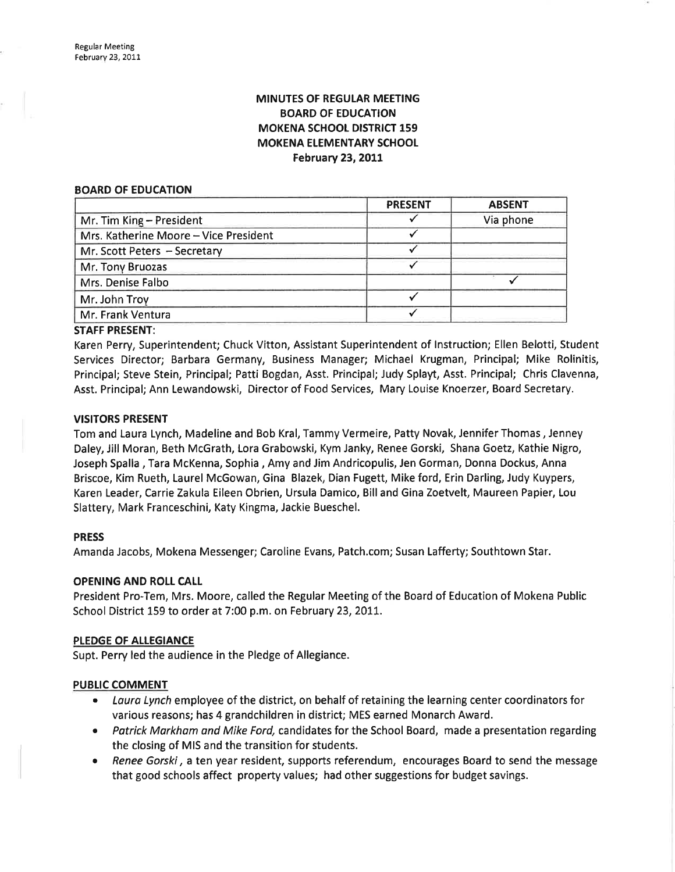# MINUTES OF REGULAR MEETING BOARD OF EDUCATION MOKENA SCHOOL DISTRICT 159 MOKENA ELEMENTARY SCHOOL February 23, 2011

#### BOARD OF EDUCATION

| <b>PRESENT</b> | <b>ABSENT</b> |
|----------------|---------------|
|                | Via phone     |
|                |               |
|                |               |
|                |               |
|                |               |
|                |               |
|                |               |
|                |               |

STAFF PRESENT:

Karen Perry, Superintendent; Chuck Vitton, Assistant Superintendent of lnstruction; Ellen Belotti, Student Services Director; Barbara Germany, Business Manager; Michael Krugman, Principal; Mike Rolinitis, Principal; Steve Stein, Principal; Patti Bogdan, Asst. Principal; Judy Splayt, Asst. Principal; Chris Clavenna, Asst. Principal; Ann Lewandowski, Director of Food Services, Mary Louise Knoerzer, Board Secretary.

# VISITORS PRESENT

Tom and Laura Lynch, Madeline and Bob Kral, Tammy Vermeire, Patty Novak, Jennifer Thomas , Jenney Daley, Jill Moran, Beth McGrath, Lora Grabowski, Kym Janky, Renee Gorski, Shana Goetz, Kathie Nigro, Joseph Spalla , Tara McKenna, Sophia , Amy and Jim Andricopulis, Jen Gorman, Donna Dockus, Anna Briscoe, Kim Rueth, Laurel McGowan, Gina Blazek, Dian Fugett, Mike ford, Erin Darling, Judy Kuypers, Karen Leader, Carrie Zakula Eileen Obrien, Ursula Damico, Billand Gina Zoetvelt, Maureen Papier, Lou Slattery, Mark Franceschini, Katy Kingma, Jackie Bueschel.

# PRESS

Amanda Jacobs, Mokena Messenger; Caroline Evans, Patch.com; Susan Lafferty; Southtown Star.

# OPENING AND ROLL CALL

President Pro-Tem, Mrs. Moore, called the Regular Meeting of the Board of Education of Mokena Public School District 159 to order at 7:00 p.m. on February 23, 2011.

## PLEDGE OF ALLEGIANCE

Supt. Perry led the audience in the Pledge of Allegiance.

# **PUBLIC COMMENT**

- Laura Lynch employee of the district, on behalf of retaining the learning center coordinators for various reasons; has 4 grandchildren in district; MES earned Monarch Award.
- Patrick Markham and Mike Ford, candidates for the School Board, made a presentation regarding the closing of MIS and the transition for students.
- Renee Gorski, a ten year resident, supports referendum, encourages Board to send the message that good schools affect property values; had other suggestions for budget savings.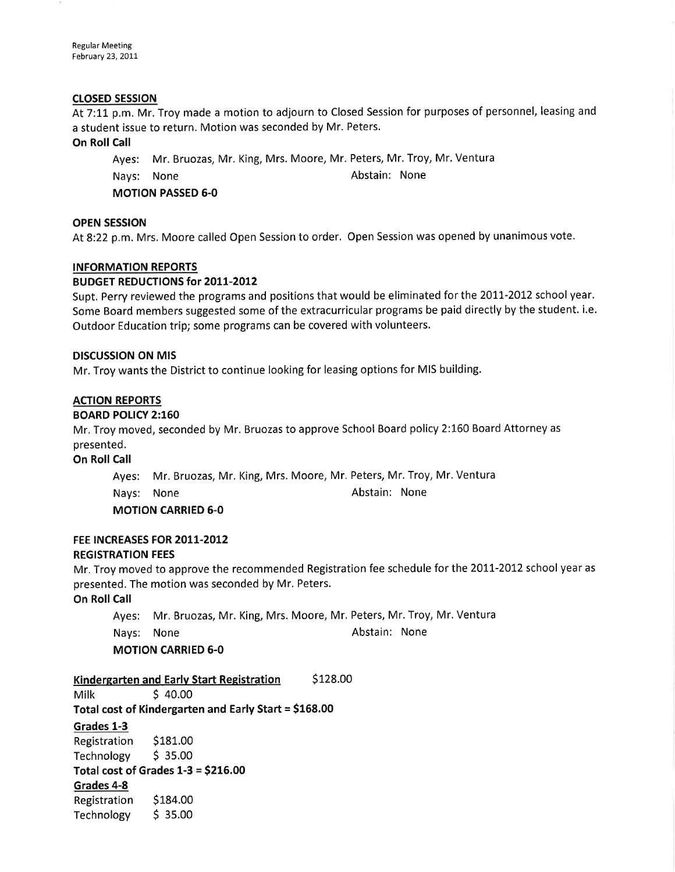Regular Meeting February 23, 2011

#### crosED sEssroN

At 7:11 p.m. Mr. Troy made a motion to adjourn to Closed Session for purposes of personnel, leasing and a student issue to return. Motion was seconded by Mr. Peters.

#### On Roll Call

Ayes: Mr. Bruozas, Mr. King, Mrs. Moore, Mr. Peters, Mr. Troy, Mr. Ventura Nays: None **Abstain:** None MOTION PASSED 6-0

#### OPEN SESSION

At8:22 p.m. Mrs. Moore called Open Session to order. Open Session was opened by unanimous vote.

#### INFORMATION REPORTS

#### BUDGET REDUCTIONS for 2011-2012

Supt. Perry reviewed the programs and positions that would be eliminated for the 20II-2012 school year. Some Board members suggested some of the extracurricular programs be paid directly by the student. i.e. Outdoor Education trip; some programs can be covered with volunteers.

#### DISCUSSION ON MIS

Mr. Troy wants the District to continue looking for leasing options for MIS building.

## ACTION REPORTS

#### BOARD POLICY 2:160

Mr. Troy moved, seconded by Mr. Bruozas to approve School Board policy 2:160 Board Attorney as presented.

#### **On Roll Call**

Ayes: Mr. Bruozas, Mr. King, Mrs. Moore, Mr. Peters, Mr. Troy, Mr. Ventura Nays: None **Abstain:** None MOTION CARRIED 6-0

# FEE INCREASES FOR 2011-2012 REGISTRATION FEES

Mr. Troy moved to approve the recommended Registration fee schedule for the 2011-2012 school year as presented. The motion was seconded by Mr. Peters.

## On Roll Call

Ayes: Mr, Bruozas, Mr. King, Mrs. Moore, Mr. Peters, Mr. Troy, Mr. Ventura

Nays: None **Abstain:** None

## MOTION CARRIED 6-0

# Kindergarten and Early Start Registration  $\frac{\text{S}}{128.00}$ <br>Milk state state state state state state state state state state state state state state state state state sta

Total cost of Kindergarten and Early Start = \$168.00

## Grades 1-3

Registration \$181.00 Technology \$ 35.00 Total cost of Grades  $1-3 = $216.00$ Grades 4-8 Registration \$184.00 Technology \$ 35.00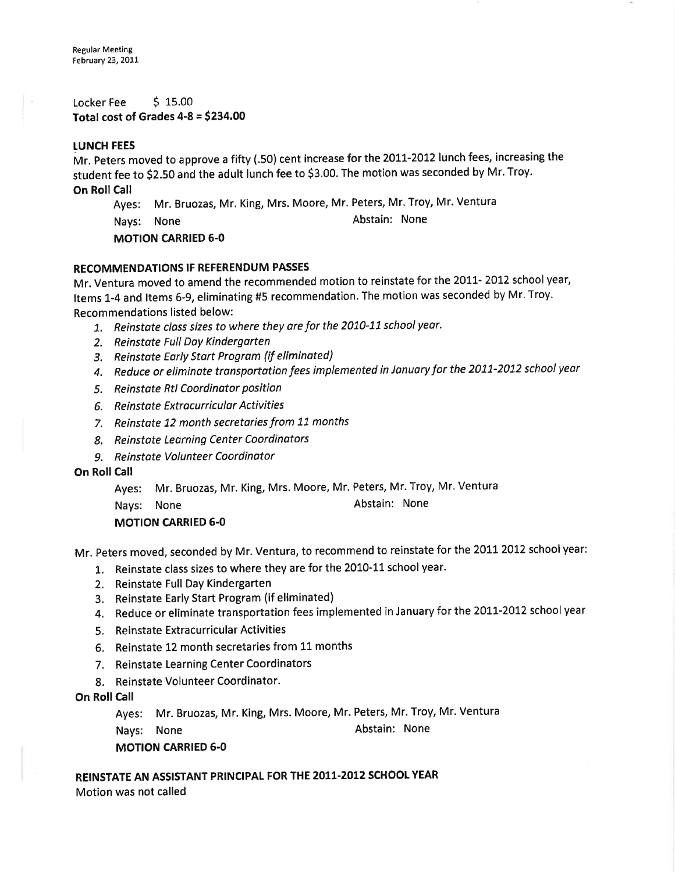Locker Fee \$15.00 Total cost of Grades  $4-8 = $234.00$ 

## LUNCH FEES

Mr. Peters moved to approve a fifty (.50) cent increase for the 2011-2012 lunch fees, increasing the student fee to \$2.50 and the adult lunch fee to \$3.00. The motion was seconded by Mr. Troy. On Roll Call

Ayes: Mr. Bruozas, Mr. King, Mrs. Moore, Mr. Peters, Mr. Troy, Mr. Ventura Nays: None **Abstain:** None

MOTION CARRIED 6-0

# RECOMMENDATIONS IF REFERENDUM PASSES

Mr. Ventura moved to amend the recommended motion to reinstate for the 2011-2012 school year, Items 1-4 and ltems 6-9, eliminating #5 recommendation. The motion was seconded by Mr. Troy. Recommendations listed below:

- 1. Reinstate class sizes to where they are for the 2010-11 school year.
- 2. Reinstate Full Day Kindergarten
- 3, Reinstote Early Stort Program (if eliminated)
- 4. Reduce or eliminate transportotion fees implemented in January for the 2011-2012 school year
- 5. Reinstote Rtl Coordinator position
- 6. Reinstate Extracurricular Activities
- 7. Reinstate 12 month secretaries from 11 months
- 8. Reinstote Leorning Center Coordìnotors
- 9. Reinstate Volunteer Coordinator

# On Roll Call

Ayes: Mr. Bruozas, Mr. King, Mrs. Moore, Mr. Peters, Mr. Troy, Mr. Ventura

Nays: None **Abstain:** None

# MOTION CARRIED 6.0

Mr. Peters moved, seconded by Mr. Ventura, to recommend to reinstate for the 2011 2012 school year:

- 1. Reinstate class sizes to where they are for the 2010-11 school year.
- 2. Reinstate Full Day Kindergarten
- 3. Reinstate Early Start Program (if eliminated)
- 4. Reduce or eliminate transportation fees implemented in January for the 2011-2012 school year
- 5. Reinstate Extracurricular Activities
- 6. Reinstate 12 month secretaries from 11 months
- 7. Reinstate Learning Center Coordinators
- 8. Reinstate Volunteer Coordinator.
- **On Roll Call**

Ayes: Mr. Bruozas, Mr. King, Mrs. Moore, Mr. Peters, Mr. Troy, Mr. Ventura

Nays: None **Abstain:** None

# MOTION CARRIED 6.0

REINSTATE AN ASSISTANT PRINCIPAL FOR THE 2011.2012 SCHOOL YEAR Motion was not called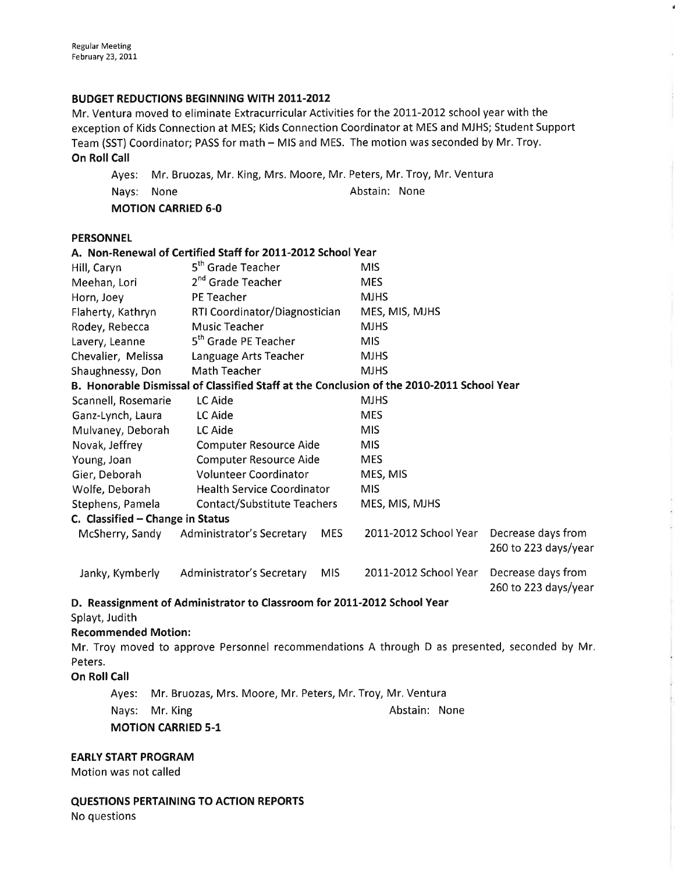# BUDGET REDUCTIONS BEGINNING WITH 2011-2012

Mr. Ventura moved to eliminate Extracurricular Activities for the 2011-2012 school year with the exception of Kids Connection at MES; Kids Connection Coordinator at MES and MJHS; Student Support Team (SST) Coordinator; PASS for math - MIS and MES. The motion was seconded by Mr. Troy. **On Roll Call** 

Ayes: Mr, Bruozas, Mr. King, Mrs. Moore, Mr. Peters, Mr. Troy, Mr. Ventura Nays: None **Abstain:** None MOTION CARRIED 6-0

## **PERSONNEL**

| 5 <sup>th</sup> Grade Teacher                       |                                  | <b>MIS</b>                                                                                               |                                                                                                                                                                                                                                                                                                                                                                                                                                                                           |  |
|-----------------------------------------------------|----------------------------------|----------------------------------------------------------------------------------------------------------|---------------------------------------------------------------------------------------------------------------------------------------------------------------------------------------------------------------------------------------------------------------------------------------------------------------------------------------------------------------------------------------------------------------------------------------------------------------------------|--|
| 2 <sup>nd</sup> Grade Teacher                       |                                  | <b>MES</b>                                                                                               |                                                                                                                                                                                                                                                                                                                                                                                                                                                                           |  |
| PE Teacher                                          |                                  | <b>MJHS</b>                                                                                              |                                                                                                                                                                                                                                                                                                                                                                                                                                                                           |  |
|                                                     |                                  | MES, MIS, MJHS                                                                                           |                                                                                                                                                                                                                                                                                                                                                                                                                                                                           |  |
| <b>Music Teacher</b>                                |                                  | <b>MJHS</b>                                                                                              |                                                                                                                                                                                                                                                                                                                                                                                                                                                                           |  |
| 5 <sup>th</sup> Grade PE Teacher                    |                                  | <b>MIS</b>                                                                                               |                                                                                                                                                                                                                                                                                                                                                                                                                                                                           |  |
| Language Arts Teacher                               |                                  | <b>MJHS</b>                                                                                              |                                                                                                                                                                                                                                                                                                                                                                                                                                                                           |  |
| <b>Math Teacher</b>                                 |                                  | <b>MJHS</b>                                                                                              |                                                                                                                                                                                                                                                                                                                                                                                                                                                                           |  |
|                                                     |                                  |                                                                                                          |                                                                                                                                                                                                                                                                                                                                                                                                                                                                           |  |
| LC Aide                                             |                                  | <b>MJHS</b>                                                                                              |                                                                                                                                                                                                                                                                                                                                                                                                                                                                           |  |
| LC Aide                                             |                                  | <b>MES</b>                                                                                               |                                                                                                                                                                                                                                                                                                                                                                                                                                                                           |  |
| LC Aide                                             |                                  | <b>MIS</b>                                                                                               |                                                                                                                                                                                                                                                                                                                                                                                                                                                                           |  |
| <b>Computer Resource Aide</b>                       |                                  | <b>MIS</b>                                                                                               |                                                                                                                                                                                                                                                                                                                                                                                                                                                                           |  |
| <b>Computer Resource Aide</b>                       |                                  |                                                                                                          |                                                                                                                                                                                                                                                                                                                                                                                                                                                                           |  |
| <b>Volunteer Coordinator</b>                        |                                  | MES, MIS                                                                                                 |                                                                                                                                                                                                                                                                                                                                                                                                                                                                           |  |
|                                                     |                                  |                                                                                                          |                                                                                                                                                                                                                                                                                                                                                                                                                                                                           |  |
|                                                     |                                  |                                                                                                          |                                                                                                                                                                                                                                                                                                                                                                                                                                                                           |  |
|                                                     |                                  |                                                                                                          |                                                                                                                                                                                                                                                                                                                                                                                                                                                                           |  |
| McSherry, Sandy<br><b>Administrator's Secretary</b> | <b>MES</b>                       |                                                                                                          | Decrease days from<br>260 to 223 days/year                                                                                                                                                                                                                                                                                                                                                                                                                                |  |
| <b>Administrator's Secretary</b>                    | <b>MIS</b>                       | 2011-2012 School Year                                                                                    | Decrease days from<br>260 to 223 days/year                                                                                                                                                                                                                                                                                                                                                                                                                                |  |
|                                                     |                                  |                                                                                                          |                                                                                                                                                                                                                                                                                                                                                                                                                                                                           |  |
|                                                     |                                  |                                                                                                          |                                                                                                                                                                                                                                                                                                                                                                                                                                                                           |  |
| <b>Recommended Motion:</b>                          |                                  |                                                                                                          |                                                                                                                                                                                                                                                                                                                                                                                                                                                                           |  |
|                                                     |                                  |                                                                                                          |                                                                                                                                                                                                                                                                                                                                                                                                                                                                           |  |
|                                                     |                                  |                                                                                                          |                                                                                                                                                                                                                                                                                                                                                                                                                                                                           |  |
|                                                     |                                  |                                                                                                          |                                                                                                                                                                                                                                                                                                                                                                                                                                                                           |  |
|                                                     |                                  |                                                                                                          |                                                                                                                                                                                                                                                                                                                                                                                                                                                                           |  |
| Mr. King                                            |                                  | Abstain: None                                                                                            |                                                                                                                                                                                                                                                                                                                                                                                                                                                                           |  |
|                                                     | C. Classified - Change in Status | RTI Coordinator/Diagnostician<br><b>Health Service Coordinator</b><br><b>Contact/Substitute Teachers</b> | A. Non-Renewal of Certified Staff for 2011-2012 School Year<br>B. Honorable Dismissal of Classified Staff at the Conclusion of the 2010-2011 School Year<br><b>MES</b><br><b>MIS</b><br>MES, MIS, MJHS<br>2011-2012 School Year<br>D. Reassignment of Administrator to Classroom for 2011-2012 School Year<br>Mr. Troy moved to approve Personnel recommendations A through D as presented, seconded by Mr.<br>Mr. Bruozas, Mrs. Moore, Mr. Peters, Mr. Troy, Mr. Ventura |  |

MOTION CARRIED 5-1

EARLY START PROGRAM

Motion was not called

QUESTIONS PERTAINING TO ACTION REPORTS No questions